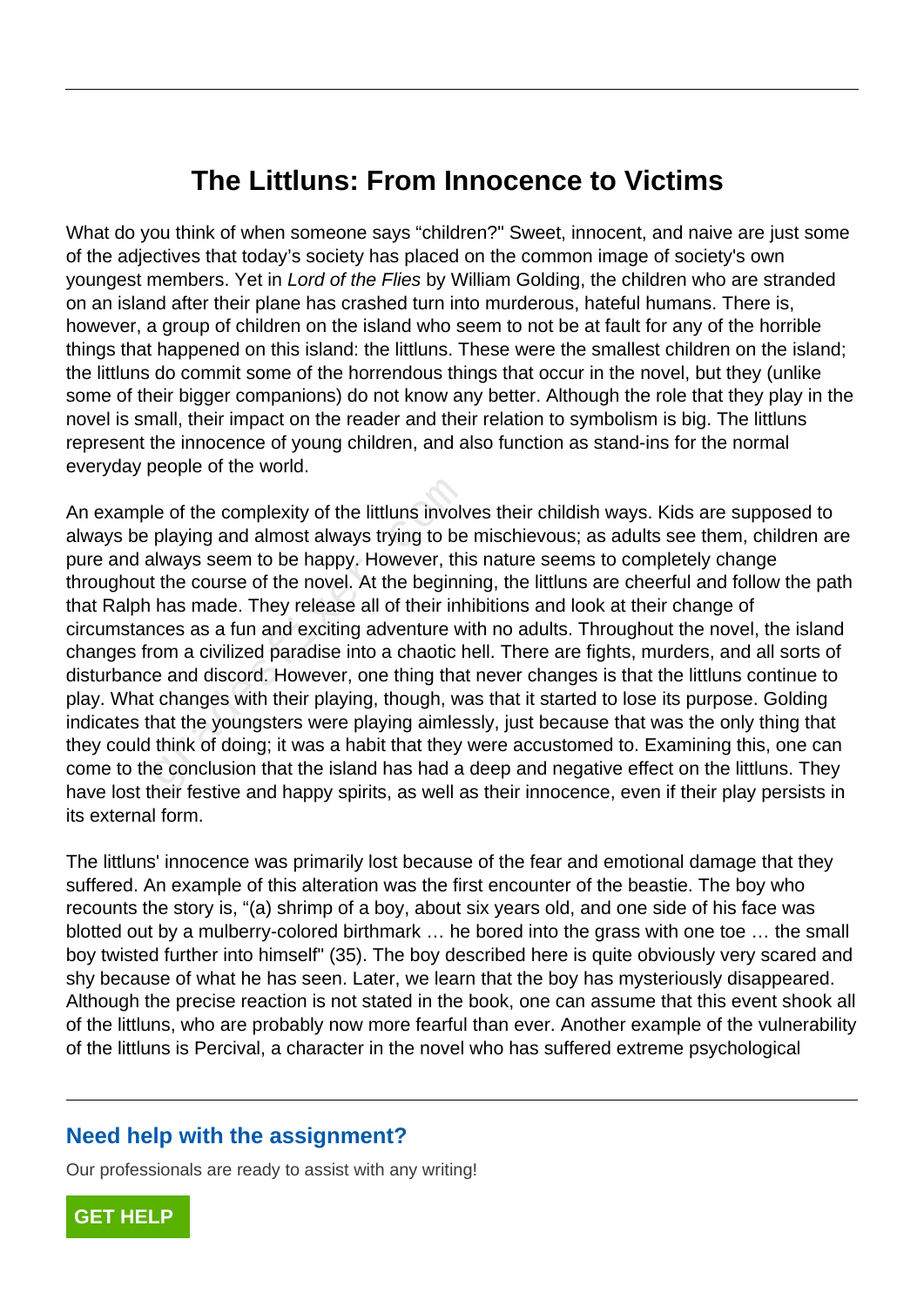## **The Littluns: From Innocence to Victims**

What do you think of when someone says "children?" Sweet, innocent, and naive are just some of the adjectives that today's society has placed on the common image of society's own youngest members. Yet in Lord of the Flies by William Golding, the children who are stranded on an island after their plane has crashed turn into murderous, hateful humans. There is, however, a group of children on the island who seem to not be at fault for any of the horrible things that happened on this island: the littluns. These were the smallest children on the island; the littluns do commit some of the horrendous things that occur in the novel, but they (unlike some of their bigger companions) do not know any better. Although the role that they play in the novel is small, their impact on the reader and their relation to symbolism is big. The littluns represent the innocence of young children, and also function as stand-ins for the normal everyday people of the world.

An example of the complexity of the littluns involves their childish ways. Kids are supposed to always be playing and almost always trying to be mischievous; as adults see them, children are pure and always seem to be happy. However, this nature seems to completely change throughout the course of the novel. At the beginning, the littluns are cheerful and follow the path that Ralph has made. They release all of their inhibitions and look at their change of circumstances as a fun and exciting adventure with no adults. Throughout the novel, the island changes from a civilized paradise into a chaotic hell. There are fights, murders, and all sorts of disturbance and discord. However, one thing that never changes is that the littluns continue to play. What changes with their playing, though, was that it started to lose its purpose. Golding indicates that the youngsters were playing aimlessly, just because that was the only thing that they could think of doing; it was a habit that they were accustomed to. Examining this, one can come to the conclusion that the island has had a deep and negative effect on the littluns. They have lost their festive and happy spirits, as well as their innocence, even if their play persists in its external form. le of the complexity of the littluns involv<br>playing and almost always trying to be<br>always seem to be happy. However, thit<br>t the course of the novel. At the beginn<br>has made. They release all of their inh<br>nces as a fun and e

The littluns' innocence was primarily lost because of the fear and emotional damage that they suffered. An example of this alteration was the first encounter of the beastie. The boy who recounts the story is, "(a) shrimp of a boy, about six years old, and one side of his face was blotted out by a mulberry-colored birthmark … he bored into the grass with one toe … the small boy twisted further into himself" (35). The boy described here is quite obviously very scared and shy because of what he has seen. Later, we learn that the boy has mysteriously disappeared. Although the precise reaction is not stated in the book, one can assume that this event shook all of the littluns, who are probably now more fearful than ever. Another example of the vulnerability of the littluns is Percival, a character in the novel who has suffered extreme psychological

## **Need help with the assignment?**

Our professionals are ready to assist with any writing!

**[GET HELP](https://my.gradesfixer.com/order?utm_campaign=pdf_sample)**